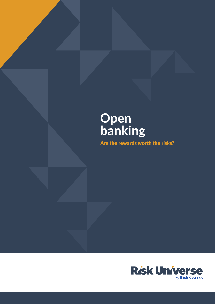# **Open banking**

Are the rewards worth the risks?

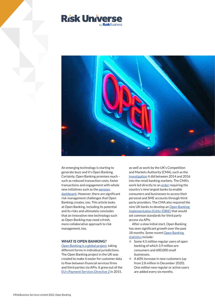



An emerging technology is starting to generate buzz and it's Open Banking. Certainly, Open Banking promises much – such as reduced transaction costs, faster transactions and engagement with whole new initiatives such as the [pension](https://www.openbankingexpo.com/news/moneyhub-and-bud-to-work-on-early-uk-pensions-dashboard-testing/)  [dashboard. H](https://www.openbankingexpo.com/news/moneyhub-and-bud-to-work-on-early-uk-pensions-dashboard-testing/)owever, there are significant risk management challenges that Open Banking creates, too. This article looks at Open Banking, including its potential and its risks and ultimately concludes that an innovative new technology such as Open Banking may need a fresh, more collaborative approach to risk management, too.

### WHAT IS OPEN BANKING?

[Open Banking is a global project, t](https://www.weforum.org/agenda/2021/04/open-banking-future-of-finance/)aking different forms in individual jurisdictions. The Open Banking project in the UK was created to make it easier for customer data to flow between financial services firms and third parties via APIs. It grew out of the [EU's Payment Services Directive 2 i](https://ec.europa.eu/info/law/payment-services-psd-2-directive-eu-2015-2366_en)n 2015, as well as work by the UK's Competition and Markets Authority (CMA), such as the [investigation i](https://www.gov.uk/cma-cases/review-of-banking-for-small-and-medium-sized-businesses-smes-in-the-uk)t did between 2014 and 2016 into the retail banking markets. The CMA's work led directly to a[n order re](https://www.gov.uk/government/publications/retail-banking-market-investigation-order-2017)quiring the country's nine largest banks to enable consumers and businesses to access their personal and SME accounts through third party providers. The CMA also required the nine UK banks to develop an [Open Banking](https://www.openbanking.org.uk)  [Implementation Entity \(OBIE\) th](https://www.openbanking.org.uk)at would set common standards for third party access via APIs.

After a slow initial start, Open Banking has seen significant growth over the past 18 months. Some recent Open Banking [statistics i](https://www.openbanking.org.uk/news/uk-open-banking-marks-fourth-year-milestone-with-over-4-million-users/)nclude:

- $\bullet$  Some 4.5 million regular users of open banking of which 3.9 million are consumers and 600,000 small businesses.
- A 60% increase in new customers (up from 2.8 million in December 2020). One million new regular or active users are added every six months.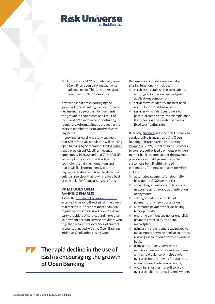

At the end of 2021, cumulatively over 26.6 million open banking payments had been made. This is an increase of more than 500% in 12 months.

Key trends that are encouraging the growth of Open Banking include the rapid decline in the use of cash for payments, the growth in ecommerce as a result of the Covid-19 pandemic and continuing regulatory reforms, aimed at reducing the costs to merchants associated with card payments.

Looking forward, [one study s](https://truelayer.com/reports/the-future-of-ecommerce-payments/)uggests that 60% of the UK population will be using open banking by September 2023. [Another](https://www.pwc.co.uk/industries/financial-services/insights/seize-open-banking-opportunity.html)  [study p](https://www.pwc.co.uk/industries/financial-services/insights/seize-open-banking-opportunity.html)redicts a £7.2 billion revenue opportunity in 2022 and that 71% of SMEs will adopt it by 2022. It's clear that the technology is gaining momentum and that it will likely permanently alter the payments landscape before the decade is out. It is also clear that it will create a host of new risks for financial services firms.

### WHAT DOES OPEN BANKING ENABLE?

Today, th[e UK Open Banking ecosystem](https://www.gov.uk/government/publications/update-governance-of-open-banking/update-on-open-banking) extends far beyond the original nine banks that started it. There are more than 330 regulated firms made up of over 230 third party providers of services and more than 90 payment account service providers who together account for over 95% of current

accounts engaged with the Open Banking initiative. Applications using Open

**The rapid decline in the use of cash is encouraging the growth of Open Banking**

Banking's account information datasharing functionality include:

- $\bullet$  services to establish the affordability and eligibility of a loan in mortgage applications comparison.
- services which identify the best bank accounts for small businesses.
- services which alert customers to potential cost savings, for example, that their mortgage has switched from a fixed to a floating rate.

Recently[, NatWest w](https://www.finextra.com/newsarticle/39404/natwest-initiates-first-live-variable-recurring-payment-transaction?utm_medium=dailynewsletter&utm_source=2021-12-16&member=22821)as the first UK bank to conduct a live transaction using Open Banking-initiate[d Variable Recurring](https://www.openbanking.org.uk/insights/variable-recurring-payments-what-are-they-and-how-can-they-help-smes/)  [Payments \(](https://www.openbanking.org.uk/insights/variable-recurring-payments-what-are-they-and-how-can-they-help-smes/)VRPs). VRPs enable customers to connect authorised payments providers to their bank account so that the payment providers can make payments on the customer's behalf within agreed parameters. Potential [use cases for VRPs](https://www.twobirds.com/en/insights/2022/global/developments-in-open-banking) include:

- automated payments for electricity bills, up to a £100 per month;
- $\bullet$  connecting a bank account to a social network app for in-app authentication of payments;
- $\bullet$  setting a limit of six months of payments for a new subscription;
- automated payments of ride-hailing fees, up to £45;
- $\bullet$  one-time payment set-up for one-click payments offered by an online marketplace;
- using a third-party smart saving app to move money between bank accounts to a savings account on a flexible / variable basis;
- using a third-party service that monitors bank accounts and maintains a threshold balance, or helps avoid overdraft fees by moving funds as and when required between accounts:
- obtaining short term credit to avoid overdraft, then automating repayments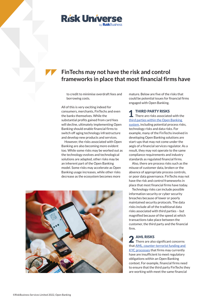

# **FinTechs may not have the risk and control frameworks in place that most financial firms have**

to credit to minimise overdraft fees and borrowing costs.

All of this is very exciting indeed for consumers, merchants, FinTechs and even the banks themselves. While the substantial profits gained from card fees will decline, ultimately implementing Open Banking should enable financial firms to switch off aging technology infrastructure and develop new products and services.

However, the risks associated with Open Banking are also becoming more evident too. While some risks may be worked out as the technology evolves and technological solutions are adapted, other risks may be an inherent part of the Open Banking model. Some risks may accelerate as Open Banking usage increases, while other risks decrease as the ecosystem becomes more



mature. Below are five of the risks that could be potential issues for financial firms engaged with Open Banking.

THIRD PARTY RISKS

There are risks associated with the [third parties within the Open Banking](https://www.teradata.com/Blogs/Look-Out-for-Risks-in-Open-Banking)  [system, i](https://www.teradata.com/Blogs/Look-Out-for-Risks-in-Open-Banking)ncluding potential process risks, technology risks and data risks. For example, many of the FinTechs involved in developing Open Banking solutions are start-ups that may not come under the aegis of a financial services regulator. As a result, they may not operate to the same compliance requirements and industry standards as regulated financial firms.

Also, there are process risks such as the misuse of customer data, broken or the absence of appropriate process controls, or poor data governance. FinTechs may not have the risk and control frameworks in place that most financial firms have today.

Technology risks can include possible information security or cyber security breaches because of lower or poorly maintained security protocols. The data risks include all of the traditional data risks associated with third parties – but magnified because of the speed at which transactions take place between the customer, the third party and the financial firm.

## AML RISKS

There are also significant concerns tha[t AML, counter-terrorist funding and](https://www.fico.com/blogs/8-risks-open-banking-poses-financial-crime-compliance)  [KYC processes t](https://www.fico.com/blogs/8-risks-open-banking-poses-financial-crime-compliance)hat firms may currently have are insufficient to meet regulatory obligations within an Open Banking context. For example, financial firms need to ensure that the third party FinTechs they are working with meet the same financial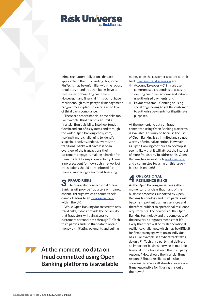

crime regulatory obligations that are applicable to them. Extending this, some FinTechs may be unfamiliar with the robust regulatory standards that banks have to meet when onboarding customers. However, many financial firms do not have robust enough third party risk management programmes in place to ascertain the level of third party compliance.

There are other financial crime risks too. For example, third parties can limit a financial firm's visibility into how funds flow in and out of its systems and through the wider Open Banking ecosystem, making it more challenging to identify suspicious activity. Indeed, overall, the traditional banks will have less of an overview of the transactions their customers engage in, making it harder for them to identify suspicious activity. There is no precedent for how such a network of transactions should be monitored for money laundering or terrorist financing.

# FRAUD RISKS

There are also concerns that Open Banking will provide fraudsters with a new channel through which to commit their crimes, leading to a[n increase in fraud](https://www.finextra.com/blogposting/20294/will-open-banking-lead-to-the-next-wave-of-the-uks-fraud-epidemic) within the UK.

While Open Banking doesn't create new fraud risks, it does provide the possibility that fraudsters will gain access to customers personal data through FinTech third parties and use that data to obtain money by initiating payments and pulling

**At the moment, no data on fraud committed using Open Banking platforms is available** money from the customer account at their ban[k. Two key fraud scenarios a](https://www.finextra.com/blogposting/20294/will-open-banking-lead-to-the-next-wave-of-the-uks-fraud-epidemic)re:

- Account Takeover Criminals use compromised credentials to access an existing customer account and initiate unauthorised payments; and
- **I** Payment Scams Conning or using social engineering to get the customer to authorise payments for illegitimate purposes.

At the moment, no data on fraud committed using Open Banking platforms is available. This may be because the use of Open Banking is still limited and so not worthy of criminal attention. However, as Open Banking continues to develop, it seems likely that it will attract the interest of more fraudsters. To address this, Open Banking has several tools [on its website](https://www.openbanking.org.uk/cyber-security-and-counter-fraud/) and a committee focusing on this issue – but is this enough?

### **OPERATIONAL** RESILIENCE RISKS

As the Open Banking initiatives gathers momentum, it's clear that many of the business processes supported by Open Banking technology and third parties will become important business services and therefore, subject to operational resilience requirements. The newness of the Open Banking technology and the complexity of the network as it grows means that it's likely that there will be fresh operational resilience challenges, which may be difficult for firms to engage with on an individual basis. For example, if a cyberattack takes down a FinTech third party that delivers an important business service to multiple financial firms, how should the third party respond? How should the financial firms respond? Should resilience plans be coordinated across all stakeholders or are firms responsible for figuring this out on their own?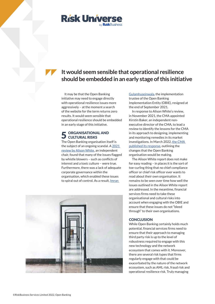

# **It would seem sensible that operational resilience should be embedded in an early stage of this initiative**

It may be that the Open Banking initiative may need to engage directly with operational resilience issues more aggressively – at the moment a search of the website for the term returns zero results. It would seem sensible that operational resilience should be embedded in an early stage of this initiative.

### ORGANISATIONAL AND **CULTURAL RISKS**

The Open Banking organisation itself is the subject of an ongoing scandal. [A 2021](https://assets.publishing.service.gov.uk/government/uploads/system/uploads/attachment_data/file/1022451/Independent_report.pdf)  [review by Alison White,](https://assets.publishing.service.gov.uk/government/uploads/system/uploads/attachment_data/file/1022451/Independent_report.pdf) an independent chair, found that many of the issues flagged by whistle blowers – such as conflicts of interest and a toxic culture – were true. Furthermore, there was a lack of adequate corporate governance within the organisation, which enabled these issues to spiral out of control. As a result, [Imran](https://www.ft.com/content/8a6d2f7b-2ba8-4472-b849-3aca72621e62) 



[Gulamhuseinwala, t](https://www.ft.com/content/8a6d2f7b-2ba8-4472-b849-3aca72621e62)he implementation trustee of the Open Banking Implementation Entity (OBIE), resigned at the end of September 2021.

In response to Alison White's review, in November 2021, the CMA appointed Kirstin Baker, an independent nonexecutive director of the CMA, to lead a review to identify the lessons for the CMA in its approach to designing, implementing and monitoring remedies in its market investigations. In March 2022[, the CMA](https://www.openbanking.org.uk/news/cma-consultation-response/)  [published its response, o](https://www.openbanking.org.uk/news/cma-consultation-response/)utlining the changes that the Open Banking organisation would be making.

The Alison White report does not make for easy reading – in places it is the sort of toe-curling thing that no chief compliance officer or chief risk officer ever wants to read about their own organisation. It remains to be seen over time how well the issues outlined in the Alison White report are addressed. In the meantime, financial services firms need to take these organisational and cultural risks into account when engaging with the OBIE and ensure that these issues do not "bleed through" to their own organisations.

#### **CONCLUSION**

While Open Banking certainly holds much potential, financial services firms need to ensure that their approach to managing third party risk is up to the level of robustness required to engage with this new technology and the network ecosystem that comes with it. Moreover, there are several risk types that firms regularly engage with that could be exacerbated by the nature of the network ecosystem, such as AML risk, fraud risk and operational resilience risk. Truly managing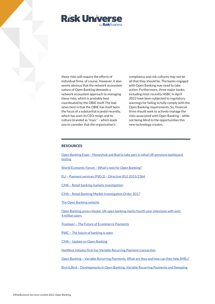

these risks will require the efforts of individual firms, of course. However, it also seems obvious that the network ecosystem nature of Open Banking demands a network ecosystem approach to managing these risks, which is probably best coordinated by the OBIE itself. The bad news here is that the OBIE has itself been the focus of a substantial scandal recently, which has seen its CEO resign and its culture branded as "toxic" – which leads one to consider that the organization's

compliance and risk cultures may not be all that they should be. The banks engaged with Open Banking may need to take action. Furthermore, three major banks, including most recently HSBC in April 2022 have been subjected to regulatory warnings for failing to fully comply with the Open Banking requirements. So, financial firms should seek to actively manage the risks associated with Open Banking – while not being blind to the opportunities this new technology creates.

#### **RESOURCES**

[Open Banking Expo – Moneyhub and Bud to take part in initial UK pensions dashboard](https://www.openbankingexpo.com/news/moneyhub-and-bud-to-work-on-early-uk-pensions-dashboard-testing/)  testing

[World Economic Forum – What's next for Open Banking?](https://www.weforum.org/agenda/2021/04/open-banking-future-of-finance/)

[EU -- Payment services \(PSD 2\) – Directive \(EU\) 2015/2366](https://ec.europa.eu/info/law/payment-services-psd-2-directive-eu-2015-2366_en)

[CMA – Retail banking markets investigation](https://www.gov.uk/cma-cases/review-of-banking-for-small-and-medium-sized-businesses-smes-in-the-uk)

[CMA – Retail Banking Market Investigation Order 2017](https://www.gov.uk/government/publications/retail-banking-market-investigation-order-2017)

#### [The Open Banking website](https://www.openbanking.org.uk)

[Open Banking press release: UK open banking marks fourth year milestone with over](https://www.openbanking.org.uk/news/uk-open-banking-marks-fourth-year-milestone-with-over-4-million-users/)  4 million users

[Truelayer – The Future of Ecommerce Payments](https://truelayer.com/reports/the-future-of-ecommerce-payments/)

[PWC – The future of banking is open](https://www.pwc.co.uk/industries/financial-services/insights/seize-open-banking-opportunity.html)

[CMA – Update on Open Banking](https://www.gov.uk/government/publications/update-governance-of-open-banking/update-on-open-banking)

[NatWest initiates first live Variable Recurring Payment transaction](https://www.finextra.com/newsarticle/39404/natwest-initiates-first-live-variable-recurring-payment-transaction?utm_medium=dailynewsletter&utm_source=2021-12-16&member=22821)

[Open Banking – Variable Recurring Payments. What are they and how can they help SMEs?](https://www.openbanking.org.uk/insights/variable-recurring-payments-what-are-they-and-how-can-they-help-smes/)

[Bird & Bird – Developments in Open Banking: Variable Recurring Payments and Sweeping](https://www.twobirds.com/en/insights/2022/global/developments-in-open-banking)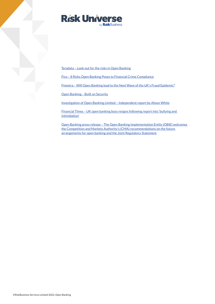

[Teradata – Look out for the risks in Open Banking](https://www.teradata.com/Blogs/Look-Out-for-Risks-in-Open-Banking)

[Fico – 8 Risks Open Banking Poses to Financial Crime Compliance](https://www.fico.com/blogs/8-risks-open-banking-poses-financial-crime-compliance)

[Finextra – Will Open Banking lead to the Next Wave of the UK's Fraud Epidemic?](https://www.finextra.com/blogposting/20294/will-open-banking-lead-to-the-next-wave-of-the-uks-fraud-epidemic)

[Open Banking – Built on Security](https://www.openbanking.org.uk/cyber-security-and-counter-fraud/)

Investigation of Open Banking Limited - Independent report by Alison White

[Financial Times – UK open banking boss resigns following report into 'bullying and](https://www.ft.com/content/8a6d2f7b-2ba8-4472-b849-3aca72621e62)  intimidation'

[Open Banking press release – The Open Banking Implementation Entity \(OBIE\) welcomes](https://www.openbanking.org.uk/news/cma-consultation-response/)  the Competition and Markets Authority's (CMA) recommendations on the future arrangements for open banking and the Joint Regulatory Statement